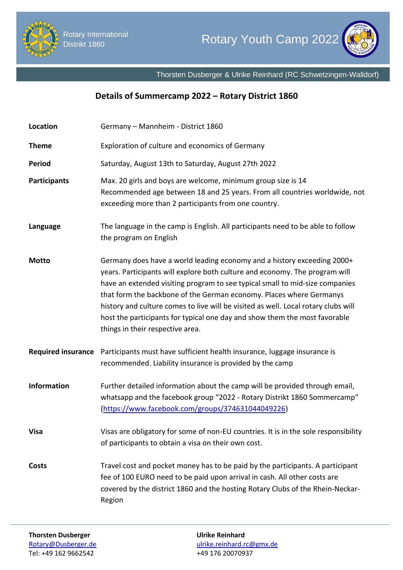



Thorsten Dusberger & Ulrike Reinhard (RC Schwetzingen-Walldorf)

## **Details of Summercamp 2022 – Rotary District 1860**

| Location                  | Germany - Mannheim - District 1860                                                                                                                                                                                                                                                                                                                                                                                                                                                                                    |
|---------------------------|-----------------------------------------------------------------------------------------------------------------------------------------------------------------------------------------------------------------------------------------------------------------------------------------------------------------------------------------------------------------------------------------------------------------------------------------------------------------------------------------------------------------------|
| <b>Theme</b>              | Exploration of culture and economics of Germany                                                                                                                                                                                                                                                                                                                                                                                                                                                                       |
| <b>Period</b>             | Saturday, August 13th to Saturday, August 27th 2022                                                                                                                                                                                                                                                                                                                                                                                                                                                                   |
| <b>Participants</b>       | Max. 20 girls and boys are welcome, minimum group size is 14<br>Recommended age between 18 and 25 years. From all countries worldwide, not<br>exceeding more than 2 participants from one country.                                                                                                                                                                                                                                                                                                                    |
| Language                  | The language in the camp is English. All participants need to be able to follow<br>the program on English                                                                                                                                                                                                                                                                                                                                                                                                             |
| <b>Motto</b>              | Germany does have a world leading economy and a history exceeding 2000+<br>years. Participants will explore both culture and economy. The program will<br>have an extended visiting program to see typical small to mid-size companies<br>that form the backbone of the German economy. Places where Germanys<br>history and culture comes to live will be visited as well. Local rotary clubs will<br>host the participants for typical one day and show them the most favorable<br>things in their respective area. |
| <b>Required insurance</b> | Participants must have sufficient health insurance, luggage insurance is<br>recommended. Liability insurance is provided by the camp                                                                                                                                                                                                                                                                                                                                                                                  |
| <b>Information</b>        | Further detailed information about the camp will be provided through email,<br>whatsapp and the facebook group "2022 - Rotary Distrikt 1860 Sommercamp"<br>(https://www.facebook.com/groups/374631044049226)                                                                                                                                                                                                                                                                                                          |
| <b>Visa</b>               | Visas are obligatory for some of non-EU countries. It is in the sole responsibility<br>of participants to obtain a visa on their own cost.                                                                                                                                                                                                                                                                                                                                                                            |
| Costs                     | Travel cost and pocket money has to be paid by the participants. A participant<br>fee of 100 EURO need to be paid upon arrival in cash. All other costs are<br>covered by the district 1860 and the hosting Rotary Clubs of the Rhein-Neckar-<br>Region                                                                                                                                                                                                                                                               |